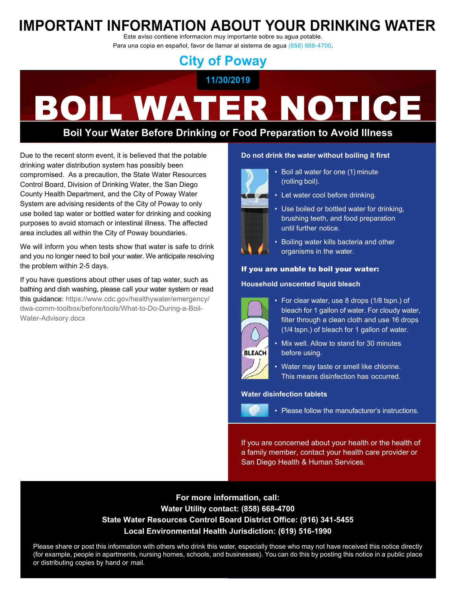## **IMPORTANT INFORMATION ABOUT YOUR DRINKING WATER**

Este aviso contiene informacion muy importante sobre su agua potable. Para una copia en español, favor de llamar al sistema de agua (858) 668-4700.

**City of Poway**

## **11/30/2019**

# BROIL WATER

## **Boil Your Water Before Drinking or Food Preparation to Avoid Illness**

Due to the recent storm event, it is believed that the potable drinking water distribution system has possibly been compromised. As a precaution, the State Water Resources Control Board, Division of Drinking Water, the San Diego County Health Department, and the City of Poway Water System are advising residents of the City of Poway to only use boiled tap water or bottled water for drinking and cooking purposes to avoid stomach or intestinal illness. The affected area includes all within the City of Poway boundaries.

We will inform you when tests show that water is safe to drink and you no longer need to boil your water. We anticipate resolving the problem within 2-5 days.

If you have questions about other uses of tap water, such as bathing and dish washing, please call your water system or read this guidance: https://www.cdc.gov/healthywater/emergency/ dwa-comm-toolbox/before/tools/What-to-Do-During-a-Boil-Water-Advisory.docx

## **Do not drink the water without boiling it first**

- Boil all water for one (1) minute (rolling boil).
- Let water cool before drinking.



- Use boiled or bottled water for drinking, brushing teeth, and food preparation until further notice.
- Boiling water kills bacteria and other organisms in the water.

## If you are unable to boil your water:

## **Household unscented liquid bleach**



• For clear water, use 8 drops (1/8 tspn.) of bleach for 1 gallon of water. For cloudy water, filter through a clean cloth and use 16 drops (1/4 tspn.) of bleach for 1 gallon of water.



- Mix well. Allow to stand for 30 minutes before using.
- Water may taste or smell like chlorine. This means disinfection has occurred.

## **Water disinfection tablets**

- - Please follow the manufacturer's instructions.

If you are concerned about your health or the health of a family member, contact your health care provider or San Diego Health & Human Services.

## **For more information, call: Water Utility contact: (858) 668-4700 State Water Resources Control Board District Office: (916) 341-5455 Local Environmental Health Jurisdiction: (619) 516-1990**

Please share or post this information with others who drink this water, especially those who may not have received this notice directly (for example, people in apartments, nursing homes, schools, and businesses). You can do this by posting this notice in a public place or distributing copies by hand or mail.